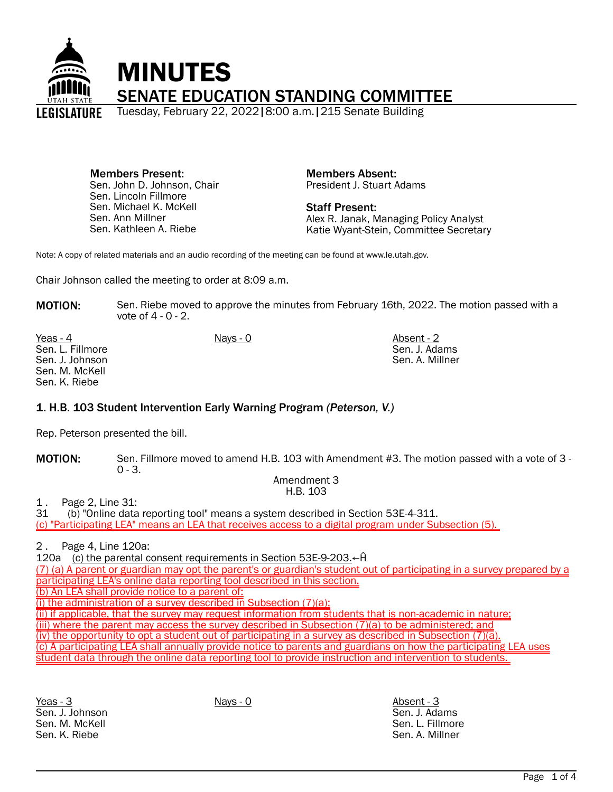

Members Present: Sen. John D. Johnson, Chair Sen. Lincoln Fillmore Sen. Michael K. McKell Sen. Ann Millner Sen. Kathleen A. Riebe

Members Absent: President J. Stuart Adams

Staff Present: Alex R. Janak, Managing Policy Analyst Katie Wyant-Stein, Committee Secretary

> Sen. J. Adams Sen. A. Millner

Note: A copy of related materials and an audio recording of the meeting can be found at www.le.utah.gov.

Chair Johnson called the meeting to order at 8:09 a.m.

**MOTION:** Sen. Riebe moved to approve the minutes from February 16th, 2022. The motion passed with a vote of  $4 - 0 - 2$ .

Yeas - 4 Nays - 0 Nays - 0 Absent - 2 Sen. L. Fillmore Sen. J. Johnson Sen. M. McKell Sen. K. Riebe

1. H.B. 103 Student Intervention Early Warning Program *(Peterson, V.)*

Rep. Peterson presented the bill.

MOTION: Sen. Fillmore moved to amend H.B. 103 with Amendment #3. The motion passed with a vote of 3 - $0 - 3$ .

> Amendment 3 H.B. 103

1 . Page 2, Line 31:

31 (b) "Online data reporting tool" means a system described in Section 53E-4-311.

(c) "Participating LEA" means an LEA that receives access to a digital program under Subsection (5).

2 . Page 4, Line 120a:

120a (c) the parental consent requirements in Section 53E-9-203.←Ĥ

(7) (a) A parent or guardian may opt the parent's or guardian's student out of participating in a survey prepared by a participating LEA's online data reporting tool described in this section.

(b) An LEA shall provide notice to a parent of:

(i) the administration of a survey described in Subsection (7)(a);

(ii) if applicable, that the survey may request information from students that is non-academic in nature;

(iii) where the parent may access the survey described in Subsection (7)(a) to be administered; and

(iv) the opportunity to opt a student out of participating in a survey as described in Subsection (7)(a).

(c) A participating LEA shall annually provide notice to parents and guardians on how the participating LEA uses student data through the online data reporting tool to provide instruction and intervention to students.

Yeas - 3 Nays - 0 Absent - 3 Sen. J. Johnson Sen. M. McKell Sen. K. Riebe

Sen. J. Adams Sen. L. Fillmore Sen. A. Millner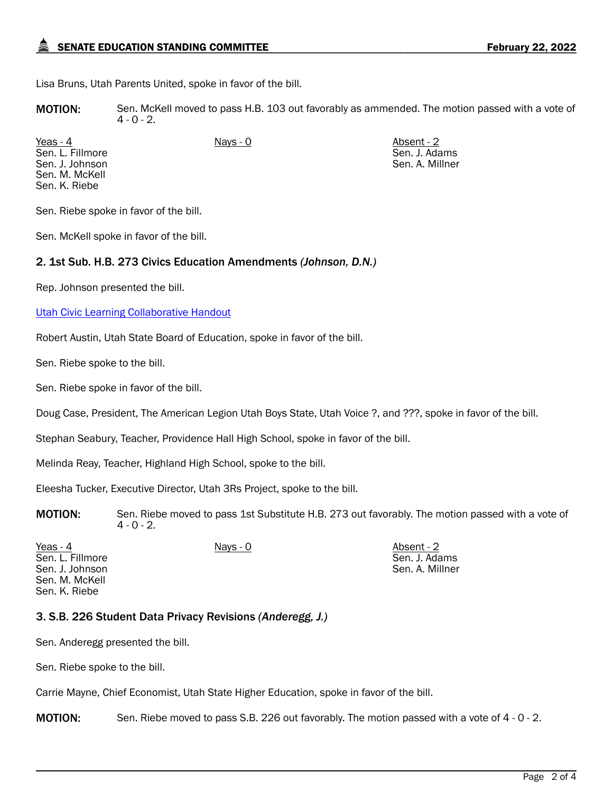## SENATE EDUCATION STANDING COMMITTEE **FEBRUARY 22, 2022**

Lisa Bruns, Utah Parents United, spoke in favor of the bill.

MOTION: Sen. McKell moved to pass H.B. 103 out favorably as ammended. The motion passed with a vote of  $4 - 0 - 2$ .

<u>Yeas - 4</u> Nays - 0 Nays - 0 Absent - 2 Sen. L. Fillmore Sen. J. Johnson Sen. M. McKell Sen. K. Riebe

Sen. J. Adams Sen. A. Millner

Sen. Riebe spoke in favor of the bill.

Sen. McKell spoke in favor of the bill.

#### 2. 1st Sub. H.B. 273 Civics Education Amendments *(Johnson, D.N.)*

Rep. Johnson presented the bill.

[Utah Civic Learning Collaborative Handout](https://le.utah.gov/interim/2022/pdf/00001870.pdf)

Robert Austin, Utah State Board of Education, spoke in favor of the bill.

Sen. Riebe spoke to the bill.

Sen. Riebe spoke in favor of the bill.

Doug Case, President, The American Legion Utah Boys State, Utah Voice ?, and ???, spoke in favor of the bill.

Stephan Seabury, Teacher, Providence Hall High School, spoke in favor of the bill.

Melinda Reay, Teacher, Highland High School, spoke to the bill.

Eleesha Tucker, Executive Director, Utah 3Rs Project, spoke to the bill.

MOTION: Sen. Riebe moved to pass 1st Substitute H.B. 273 out favorably. The motion passed with a vote of  $4 - 0 - 2$ .

Yeas - 4 Nays - 0 Nays - 0 Absent - 2 Sen. L. Fillmore Sen. J. Johnson Sen. M. McKell Sen. K. Riebe

Sen. J. Adams Sen. A. Millner

## 3. S.B. 226 Student Data Privacy Revisions *(Anderegg, J.)*

Sen. Anderegg presented the bill.

Sen. Riebe spoke to the bill.

Carrie Mayne, Chief Economist, Utah State Higher Education, spoke in favor of the bill.

**MOTION:** Sen. Riebe moved to pass S.B. 226 out favorably. The motion passed with a vote of 4 - 0 - 2.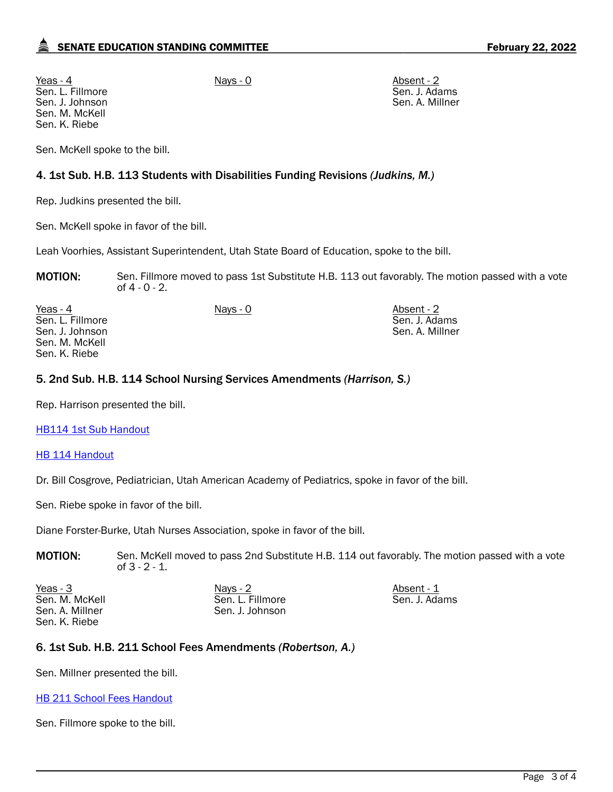Yeas - 4 Nays - 0 Nays - 0 Absent - 2 Sen. L. Fillmore Sen. J. Johnson Sen. M. McKell Sen. K. Riebe

Sen. J. Adams Sen. A. Millner

Sen. McKell spoke to the bill.

## 4. 1st Sub. H.B. 113 Students with Disabilities Funding Revisions *(Judkins, M.)*

Rep. Judkins presented the bill.

Sen. McKell spoke in favor of the bill.

Leah Voorhies, Assistant Superintendent, Utah State Board of Education, spoke to the bill.

MOTION: Sen. Fillmore moved to pass 1st Substitute H.B. 113 out favorably. The motion passed with a vote of 4 - 0 - 2.

| Yeas - 4         | Nays - 0 | Absent - 2      |
|------------------|----------|-----------------|
| Sen. L. Fillmore |          | Sen. J. Adams   |
| Sen. J. Johnson  |          | Sen. A. Millner |
| Sen. M. McKell   |          |                 |
| Sen. K. Riebe    |          |                 |

## 5. 2nd Sub. H.B. 114 School Nursing Services Amendments *(Harrison, S.)*

Rep. Harrison presented the bill.

[HB114 1st Sub Handout](https://le.utah.gov/interim/2022/pdf/00001871.pdf)

#### **[HB 114 Handout](https://le.utah.gov/interim/2022/pdf/00001872.pdf)**

Dr. Bill Cosgrove, Pediatrician, Utah American Academy of Pediatrics, spoke in favor of the bill.

Sen. Riebe spoke in favor of the bill.

Diane Forster-Burke, Utah Nurses Association, spoke in favor of the bill.

MOTION: Sen. McKell moved to pass 2nd Substitute H.B. 114 out favorably. The motion passed with a vote of 3 - 2 - 1.

<u>Yeas - 3</u> Nays - 2 Nays - 2 Absent - 1 Sen. M. McKell Sen. A. Millner Sen. K. Riebe

Sen. L. Fillmore Sen. J. Johnson Sen. J. Adams

## 6. 1st Sub. H.B. 211 School Fees Amendments *(Robertson, A.)*

Sen. Millner presented the bill.

#### **[HB 211 School Fees Handout](https://le.utah.gov/interim/2022/pdf/00001873.pdf)**

Sen. Fillmore spoke to the bill.